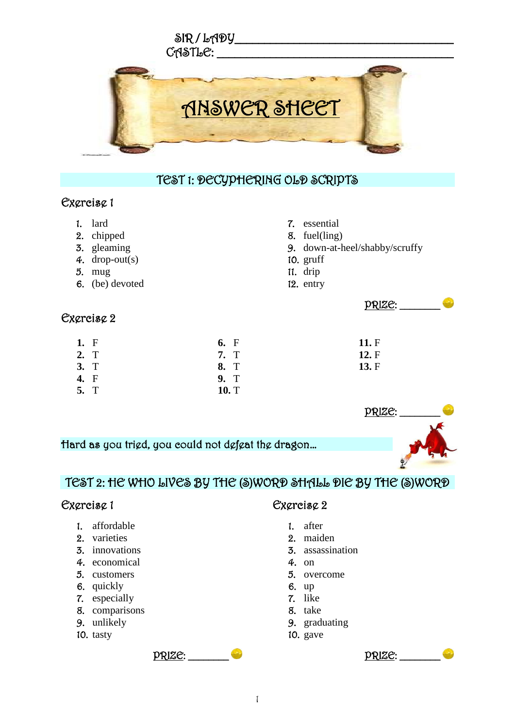

### TEST 1: DECYPHERING OLD SCRIPTS

7. essential 8. fuel(ling)

10. gruff 11. drip 12. entry

9. down-at-heel/shabby/scruffy

**11.** F **12.** F **13.** F

 $PRIZE:$ 

### Exercise 1

- 1. lard
- 2. chipped
- 3. gleaming
- 4. drop-out(s)
- 5. mug
- 6. (be) devoted

### Exercise 2

| 1. F | 6. F  |  |
|------|-------|--|
| 2. T | 7. T  |  |
| 3. T | 8. T  |  |
| 4. F | 9. T  |  |
| 5. T | 10. T |  |



## TEST 2: HE WHO LIVES BY THE (S)WORD SHALL DIE BY THE (S)WORD

### Exercise 1

- 1. affordable
- 2. varieties
- 3. innovations
- 4. economical
- 5. customers
- 6. quickly
- 7. especially
- 8. comparisons
- 9. unlikely
- 10. tasty

### Exercise 2

- 1. after
- 2. maiden
- 3. assassination
- 4. on
- 5. overcome
- 6. up
- 7. like
- 8. take
- 9. graduating
- 10. gave



PRIZE: \_\_\_\_\_\_\_\_